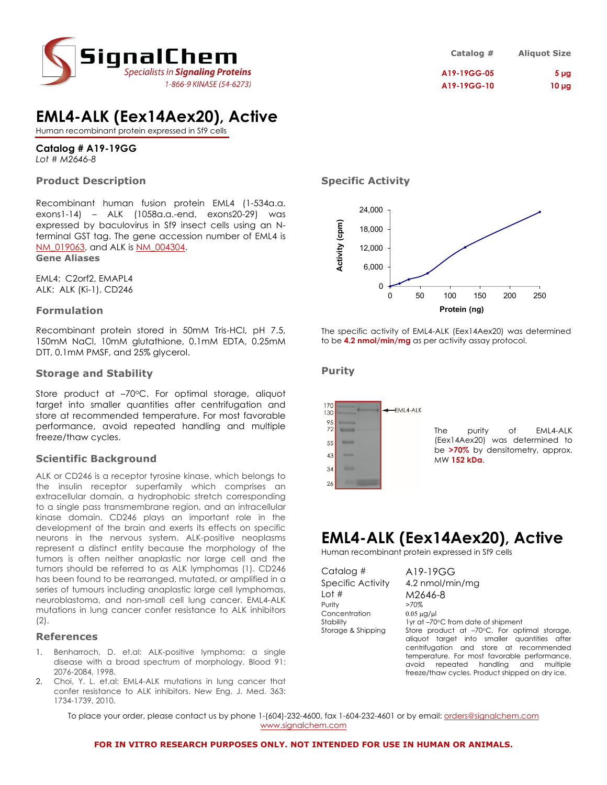

# **EML4-ALK (Eex14Aex20), Active**

Human recombinant protein expressed in Sf9 cells

# **Catalog # A19-19GG**

*Lot # M2646-8*

## **Product Description**

Recombinant human fusion protein EML4 (1-534a.a. exons1-14) – ALK (1058a.a.-end, exons20-29) was expressed by baculovirus in Sf9 insect cells using an Nterminal GST tag. The gene accession number of EML4 is NM\_019063, and ALK is NM\_004304. **Gene Aliases**

EML4: C2orf2, EMAPL4 ALK: ALK (Ki-1), CD246

## **Formulation**

Recombinant protein stored in 50mM Tris-HCl, pH 7.5, 150mM NaCl, 10mM glutathione, 0.1mM EDTA, 0.25mM DTT, 0.1mM PMSF, and 25% glycerol.

## **Storage and Stability**

Store product at  $-70^{\circ}$ C. For optimal storage, aliquot target into smaller quantities after centrifugation and store at recommended temperature. For most favorable performance, avoid repeated handling and multiple freeze/thaw cycles.

## **Scientific Background**

ALK or CD246 is a receptor tyrosine kinase, which belongs to the insulin receptor superfamily which comprises an extracellular domain, a hydrophobic stretch corresponding to a single pass transmembrane region, and an intracellular kinase domain. CD246 plays an important role in the development of the brain and exerts its effects on specific neurons in the nervous system. ALK-positive neoplasms represent a distinct entity because the morphology of the tumors is often neither anaplastic nor large cell and the tumors should be referred to as ALK lymphomas (1). CD246 has been found to be rearranged, mutated, or amplified in a series of tumours including anaplastic large cell lymphomas, neuroblastoma, and non-small cell lung cancer. EML4-ALK mutations in lung cancer confer resistance to ALK inhibitors  $(2).$ 

### **References**

- 1. Benharroch, D. et.al: ALK-positive lymphoma: a single disease with a broad spectrum of morphology. Blood 91: 2076-2084, 1998.
- 2. Choi, Y. L. et.al: EML4-ALK mutations in lung cancer that confer resistance to ALK inhibitors. New Eng. J. Med. 363: 1734-1739, 2010.

**Specific Activity**



The specific activity of EML4-ALK (Eex14Aex20) was determined to be **4.2 nmol/min/mg** as per activity assay protocol.

### **Purity**



The purity of EML4-ALK (Eex14Aex20) was determined to be **>70%** by densitometry, approx. MW **152 kDa**.

# **EML4-ALK (Eex14Aex20), Active**

Human recombinant protein expressed in Sf9 cells

| Catalog #          | A19-19GG                                                                                                                                |
|--------------------|-----------------------------------------------------------------------------------------------------------------------------------------|
| Specific Activity  | 4.2 nmol/min/mg                                                                                                                         |
| Lot #              | M2646-8                                                                                                                                 |
| Purity             | >70%                                                                                                                                    |
| Concentration      | $0.05 \mu$ g/ $\mu$                                                                                                                     |
| Stability          | 1yr at -70°C from date of shipment                                                                                                      |
| Storage & Shipping | Store product at -70°C. For optimal storage,<br>aliquot target into smaller quantities after<br>centrifugation and store at recommended |
|                    | temperature. For most favorable performance,                                                                                            |
|                    | repeated handling and multiple<br>avoid                                                                                                 |
|                    | freeze/thaw cycles. Product shipped on dry ice.                                                                                         |

To place your order, please contact us by phone 1-(604)-232-4600, fax 1-604-232-4601 or by email: orders@signalchem.com www.signalchem.com

#### **FOR IN VITRO RESEARCH PURPOSES ONLY. NOT INTENDED FOR USE IN HUMAN OR ANIMALS.**

**Catalog # Aliquot Size A19-19GG-05 5 µg A19-19GG-10 10 µg**